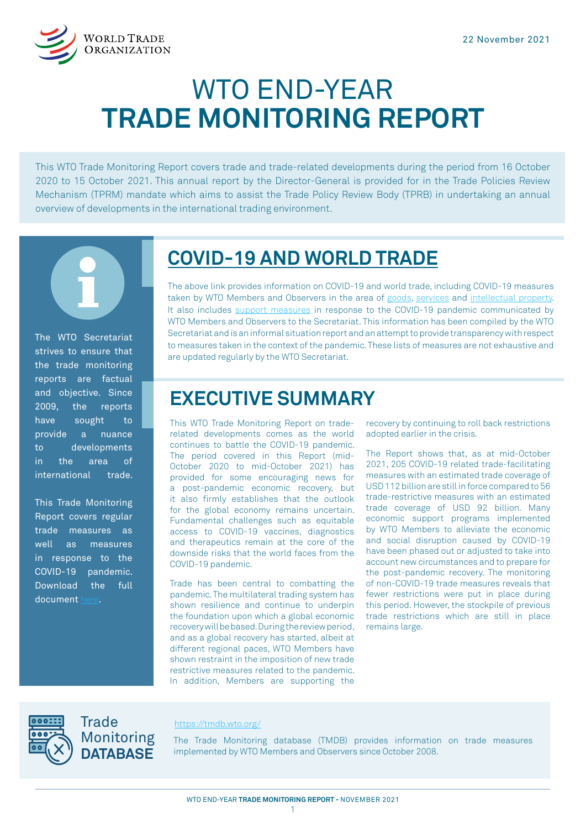

# WTO END-YEAR **TRADE MONITORING REPORT**

This WTO Trade Monitoring Report covers trade and trade-related developments during the period from 16 October 2020 to 15 October 2021. This annual report by the Director-General is provided for in the Trade Policies Review Mechanism (TPRM) mandate which aims to assist the Trade Policy Review Body (TPRB) in undertaking an annual overview of developments in the international trading environment.



The WTO Secretariat strives to ensure that the trade monitoring reports are factual and objective. Since 2009, the reports have sought to provide a nuance to developments in the area of international trade.

This Trade Monitoring Report covers regular trade measures as well as measures in response to the COVID-19 pandemic. Download the full document [here](https://docs.wto.org/dol2fe/Pages/FE_Search/FE_S_S006.aspx?MetaCollection=WTO&SymbolList=wt%2ftpr%2fov%2f24*&Serial=&IssuingDateFrom=&IssuingDateTo=&CATTITLE=&ConcernedCountryList=&OtherCountryList=&SubjectList=&TypeList=&FullTextHash=371857150&ProductList=&BodyDescriptionList=&OrganizationList=&ArticleList=&Contents=&CollectionList=&RestrictionTypeName=&PostingDateFrom=&PostingDateTo=&DerestrictionDateFrom=&DerestrictionDateTo=&ReferenceList=&Language=ENGLISH&SearchPage=FE_S_S001&ActiveTabIndex=0&HSClassificationList=&ServicesClassificationList=&EnvironmentClassificationList=&ICSClassificationList=&ICSClassificationDescList:EnvironmentClassificationDescList:ServicesClassificationDescList:HSClassificationDescList=&languageUIChanged=true).

## **[COVID-19 AND WORLD TRADE](https://www.wto.org/english/tratop_e/covid19_e/covid19_e.htm)**

The above link provides information on COVID-19 and world trade, including COVID-19 measures taken by WTO Members and Observers in the area of [goods,](https://www.wto.org/english/tratop_e/covid19_e/trade_related_goods_measure_e.htm) [services](https://www.wto.org/english/tratop_e/covid19_e/trade_related_services_measure_e.htm) and [intellectual property.](https://www.wto.org/english/tratop_e/covid19_e/trade_related_ip_measure_e.htm) It also includes [support measures](https://www.wto.org/english/tratop_e/covid19_e/trade_related_support_measures_e.htm) in response to the COVID-19 pandemic communicated by WTO Members and Observers to the Secretariat. This information has been compiled by the WTO Secretariat and is an informal situation report and an attempt to provide transparency with respect to measures taken in the context of the pandemic. These lists of measures are not exhaustive and are updated regularly by the WTO Secretariat.

### **EXECUTIVE SUMMARY**

This WTO Trade Monitoring Report on traderelated developments comes as the world continues to battle the COVID-19 pandemic. The period covered in this Report (mid-October 2020 to mid-October 2021) has provided for some encouraging news for a post-pandemic economic recovery, but it also firmly establishes that the outlook for the global economy remains uncertain. Fundamental challenges such as equitable access to COVID-19 vaccines, diagnostics and therapeutics remain at the core of the downside risks that the world faces from the COVID-19 pandemic.

Trade has been central to combatting the pandemic. The multilateral trading system has shown resilience and continue to underpin the foundation upon which a global economic recovery will be based. During the review period, and as a global recovery has started, albeit at different regional paces, WTO Members have shown restraint in the imposition of new trade restrictive measures related to the pandemic. In addition, Members are supporting the

recovery by continuing to roll back restrictions adopted earlier in the crisis.

The Report shows that, as at mid-October 2021, 205 COVID-19 related trade-facilitating measures with an estimated trade coverage of USD 112 billion are still in force compared to 56 trade-restrictive measures with an estimated trade coverage of USD 92 billion. Many economic support programs implemented by WTO Members to alleviate the economic and social disruption caused by COVID-19 have been phased out or adjusted to take into account new circumstances and to prepare for the post-pandemic recovery. The monitoring of non-COVID-19 trade measures reveals that fewer restrictions were put in place during this period. However, the stockpile of previous trade restrictions which are still in place remains large.



#### https://tmdb.wto.org/

The Trade Monitoring database (TMDB) provides information on trade measures implemented by WTO Members and Observers since October 2008.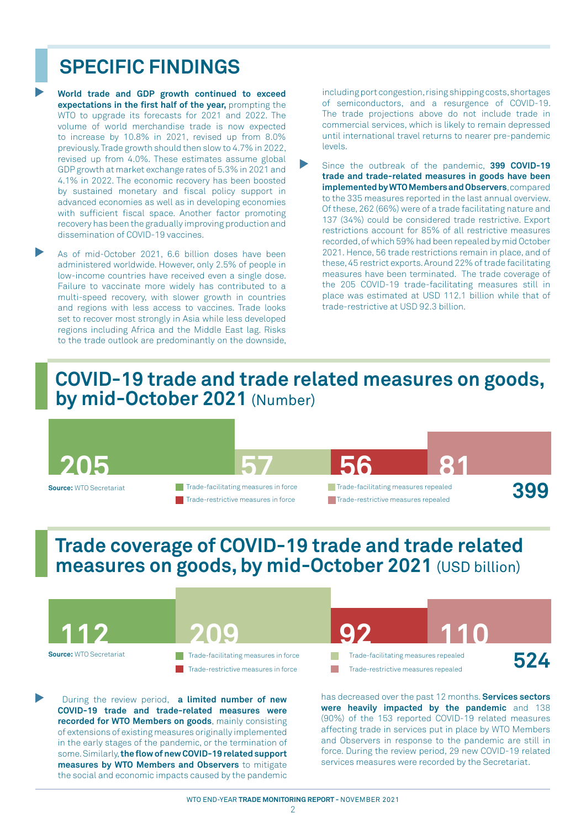### **SPECIFIC FINDINGS**

- **World trade and GDP growth continued to exceed expectations in the first half of the year,** prompting the WTO to upgrade its forecasts for 2021 and 2022. The volume of world merchandise trade is now expected to increase by 10.8% in 2021, revised up from 8.0% previously. Trade growth should then slow to 4.7% in 2022, revised up from 4.0%. These estimates assume global GDP growth at market exchange rates of 5.3% in 2021 and 4.1% in 2022. The economic recovery has been boosted by sustained monetary and fiscal policy support in advanced economies as well as in developing economies with sufficient fiscal space. Another factor promoting recovery has been the gradually improving production and dissemination of COVID-19 vaccines.
- As of mid-October 2021, 6.6 billion doses have been administered worldwide. However, only 2.5% of people in low-income countries have received even a single dose. Failure to vaccinate more widely has contributed to a multi-speed recovery, with slower growth in countries and regions with less access to vaccines. Trade looks set to recover most strongly in Asia while less developed regions including Africa and the Middle East lag. Risks to the trade outlook are predominantly on the downside,

including port congestion, rising shipping costs, shortages of semiconductors, and a resurgence of COVID-19. The trade projections above do not include trade in commercial services, which is likely to remain depressed until international travel returns to nearer pre-pandemic levels.

Since the outbreak of the pandemic, **399 COVID-19 trade and trade-related measures in goods have been implemented by WTO Members and Observers**, compared to the 335 measures reported in the last annual overview. Of these, 262 (66%) were of a trade facilitating nature and 137 (34%) could be considered trade restrictive. Export restrictions account for 85% of all restrictive measures recorded, of which 59% had been repealed by mid October 2021. Hence, 56 trade restrictions remain in place, and of these, 45 restrict exports. Around 22% of trade facilitating measures have been terminated. The trade coverage of the 205 COVID-19 trade-facilitating measures still in place was estimated at USD 112.1 billion while that of trade-restrictive at USD 92.3 billion.

#### COVID-19 trade and trade related measures on goods, **by mid-October 2021** (Number)



#### **Trade coverage of COVID-19 trade and trade related measures on goods, by mid-October 2021** (USD billion)



has decreased over the past 12 months. **Services sectors were heavily impacted by the pandemic** and 138 (90%) of the 153 reported COVID-19 related measures affecting trade in services put in place by WTO Members and Observers in response to the pandemic are still in force. During the review period, 29 new COVID-19 related services measures were recorded by the Secretariat.

 During the review period, **a limited number of new COVID-19 trade and trade-related measures were recorded for WTO Members on goods**, mainly consisting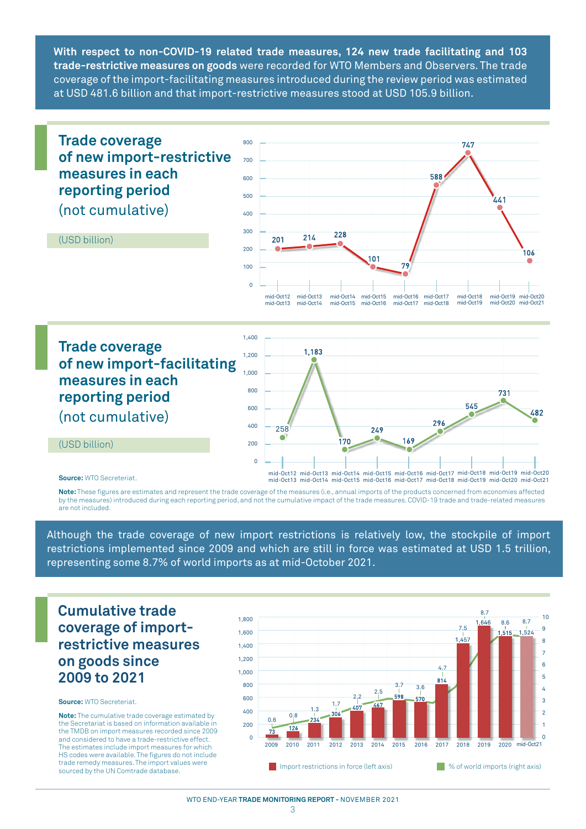**With respect to non-COVID-19 related trade measures, 124 new trade facilitating and 103 trade-restrictive measures on goods** were recorded for WTO Members and Observers. The trade coverage of the import-facilitating measures introduced during the review period was estimated at USD 481.6 billion and that import-restrictive measures stood at USD 105.9 billion.



**measures in each reporting period** (not cumulative)



Trade coverage of new importance of new importance in each report-facilitation  $\mathcal{C}$ 

(USD billion)

**Source:** WTO Secreteriat.

**Note:** These figures are estimates and represent the trade coverage of the measures (i.e., annual imports of the products concerned from economies affected by the measures) introduced during each reporting period, and not the cumulative impact of the trade measures. COVID-19 trade and trade-related measures are not included.

Although the trade coverage of new import restrictions is relatively low, the stockpile of import restrictions implemented since 2009 and which are still in force was estimated at USD 1.5 trillion, representing some 8.7% of world imports as at mid-October 2021.

#### **Cumulative trade coverage of importrestrictive measures on goods since 2009 to 2021**



**Source:** WTO Secreteriat.

**Note:** The cumulative trade coverage estimated by the Secretariat is based on information available in the TMDB on import measures recorded since 2009 and considered to have a trade-restrictive effect. The estimates include import measures for which HS codes were available. The figures do not include trade remedy measures. The import values were